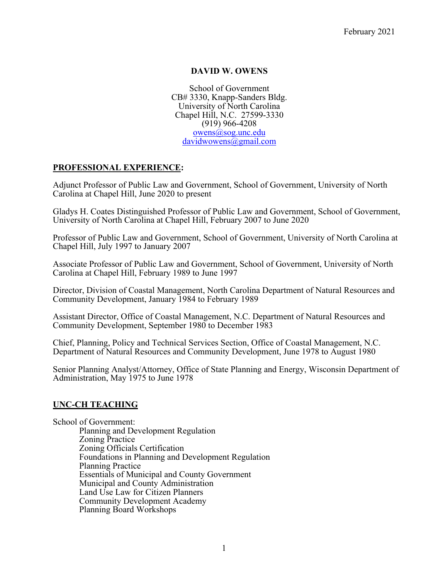## **DAVID W. OWENS**

School of Government CB# 3330, Knapp-Sanders Bldg. University of North Carolina Chapel Hill, N.C. 27599-3330 (919) 966-4208 owens@sog.unc.edu davidwowens@gmail.com

## **PROFESSIONAL EXPERIENCE:**

Adjunct Professor of Public Law and Government, School of Government, University of North Carolina at Chapel Hill, June 2020 to present

Gladys H. Coates Distinguished Professor of Public Law and Government, School of Government, University of North Carolina at Chapel Hill, February 2007 to June 2020

Professor of Public Law and Government, School of Government, University of North Carolina at Chapel Hill, July 1997 to January 2007

Associate Professor of Public Law and Government, School of Government, University of North Carolina at Chapel Hill, February 1989 to June 1997

Director, Division of Coastal Management, North Carolina Department of Natural Resources and Community Development, January 1984 to February 1989

Assistant Director, Office of Coastal Management, N.C. Department of Natural Resources and Community Development, September 1980 to December 1983

Chief, Planning, Policy and Technical Services Section, Office of Coastal Management, N.C. Department of Natural Resources and Community Development, June 1978 to August 1980

Senior Planning Analyst/Attorney, Office of State Planning and Energy, Wisconsin Department of Administration, May 1975 to June 1978

#### **UNC-CH TEACHING**

School of Government: Planning and Development Regulation Zoning Practice Zoning Officials Certification Foundations in Planning and Development Regulation Planning Practice Essentials of Municipal and County Government Municipal and County Administration Land Use Law for Citizen Planners Community Development Academy Planning Board Workshops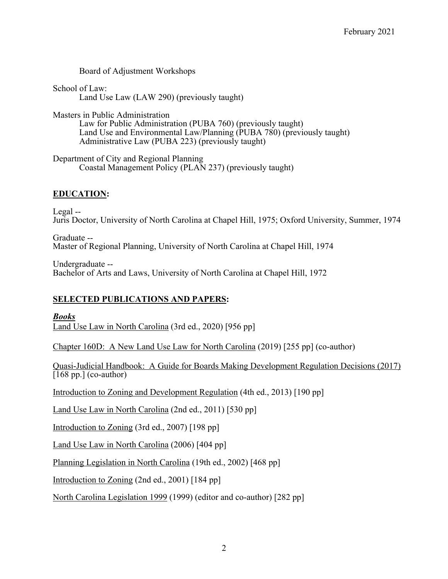Board of Adjustment Workshops

School of Law: Land Use Law (LAW 290) (previously taught)

Masters in Public Administration Law for Public Administration (PUBA 760) (previously taught) Land Use and Environmental Law/Planning (PUBA 780) (previously taught) Administrative Law (PUBA 223) (previously taught)

Department of City and Regional Planning Coastal Management Policy (PLAN 237) (previously taught)

## **EDUCATION:**

Legal -- Juris Doctor, University of North Carolina at Chapel Hill, 1975; Oxford University, Summer, 1974

Graduate -- Master of Regional Planning, University of North Carolina at Chapel Hill, 1974

Undergraduate -- Bachelor of Arts and Laws, University of North Carolina at Chapel Hill, 1972

#### **SELECTED PUBLICATIONS AND PAPERS:**

*Books* Land Use Law in North Carolina (3rd ed., 2020) [956 pp]

Chapter 160D: A New Land Use Law for North Carolina (2019) [255 pp] (co-author)

Quasi-Judicial Handbook: A Guide for Boards Making Development Regulation Decisions (2017)  $\sqrt{168 \text{ pp.}}$  (co-author)

Introduction to Zoning and Development Regulation (4th ed., 2013) [190 pp]

Land Use Law in North Carolina (2nd ed., 2011) [530 pp]

Introduction to Zoning (3rd ed., 2007) [198 pp]

Land Use Law in North Carolina (2006) [404 pp]

Planning Legislation in North Carolina (19th ed., 2002) [468 pp]

Introduction to Zoning (2nd ed., 2001) [184 pp]

North Carolina Legislation 1999 (1999) (editor and co-author) [282 pp]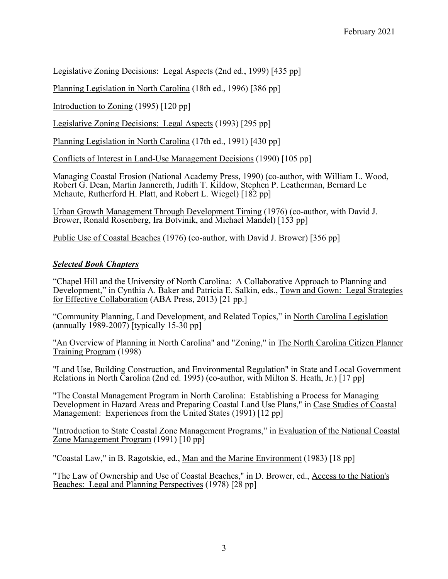Legislative Zoning Decisions: Legal Aspects (2nd ed., 1999) [435 pp]

Planning Legislation in North Carolina (18th ed., 1996) [386 pp]

Introduction to Zoning (1995) [120 pp]

Legislative Zoning Decisions: Legal Aspects (1993) [295 pp]

Planning Legislation in North Carolina (17th ed., 1991) [430 pp]

Conflicts of Interest in Land-Use Management Decisions (1990) [105 pp]

Managing Coastal Erosion (National Academy Press, 1990) (co-author, with William L. Wood, Robert G. Dean, Martin Jannereth, Judith T. Kildow, Stephen P. Leatherman, Bernard Le Mehaute, Rutherford H. Platt, and Robert L. Wiegel) [182 pp]

Urban Growth Management Through Development Timing (1976) (co-author, with David J. Brower, Ronald Rosenberg, Ira Botvinik, and Michael Mandel) [153 pp]

Public Use of Coastal Beaches (1976) (co-author, with David J. Brower) [356 pp]

# *Selected Book Chapters*

"Chapel Hill and the University of North Carolina: A Collaborative Approach to Planning and Development," in Cynthia A. Baker and Patricia E. Salkin, eds., Town and Gown: Legal Strategies for Effective Collaboration (ABA Press, 2013) [21 pp.]

"Community Planning, Land Development, and Related Topics," in North Carolina Legislation (annually  $1989-2007$ ) [typically 15-30 pp]

"An Overview of Planning in North Carolina" and "Zoning," in The North Carolina Citizen Planner Training Program (1998)

"Land Use, Building Construction, and Environmental Regulation" in State and Local Government Relations in North Carolina (2nd ed. 1995) (co-author, with Milton S. Heath, Jr.) [17 pp]

"The Coastal Management Program in North Carolina: Establishing a Process for Managing Development in Hazard Areas and Preparing Coastal Land Use Plans," in Case Studies of Coastal Management: Experiences from the United States (1991) [12 pp]

"Introduction to State Coastal Zone Management Programs," in Evaluation of the National Coastal Zone Management Program (1991) [10 pp]

"Coastal Law," in B. Ragotskie, ed., Man and the Marine Environment (1983) [18 pp]

"The Law of Ownership and Use of Coastal Beaches," in D. Brower, ed., Access to the Nation's Beaches: Legal and Planning Perspectives (1978) [28 pp]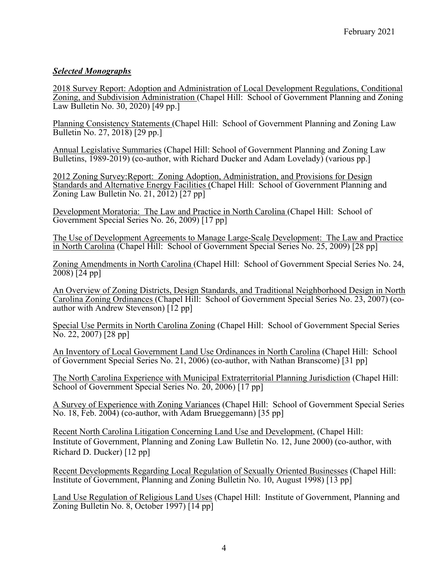# *Selected Monographs*

2018 Survey Report: Adoption and Administration of Local Development Regulations, Conditional Zoning, and Subdivision Administration (Chapel Hill: School of Government Planning and Zoning Law Bulletin No. 30, 2020) [49 pp.]

Planning Consistency Statements (Chapel Hill: School of Government Planning and Zoning Law Bulletin No. 27, 2018) [29 pp.]

Annual Legislative Summaries (Chapel Hill: School of Government Planning and Zoning Law Bulletins, 1989-2019) (co-author, with Richard Ducker and Adam Lovelady) (various pp. 1

2012 Zoning Survey:Report: Zoning Adoption, Administration, and Provisions for Design Standards and Alternative Energy Facilities (Chapel Hill: School of Government Planning and Zoning Law Bulletin No. 21,  $20\overline{1}2$  [27 pp]

Development Moratoria: The Law and Practice in North Carolina (Chapel Hill: School of Government Special Series No. 26, 2009) [17 pp]

The Use of Development Agreements to Manage Large-Scale Development: The Law and Practice in North Carolina (Chapel Hill: School of Government Special Series No. 25, 2009) [28 pp]

Zoning Amendments in North Carolina (Chapel Hill: School of Government Special Series No. 24, 2008) [24 pp]

An Overview of Zoning Districts, Design Standards, and Traditional Neighborhood Design in North Carolina Zoning Ordinances (Chapel Hill: School of Government Special Series No. 23, 2007) (coauthor with Andrew Stevenson) [12 pp]

Special Use Permits in North Carolina Zoning (Chapel Hill: School of Government Special Series No. 22, 2007) [28 pp]

An Inventory of Local Government Land Use Ordinances in North Carolina (Chapel Hill: School of Government Special Series No. 21, 2006) (co-author, with Nathan Branscome) [31 pp]

The North Carolina Experience with Municipal Extraterritorial Planning Jurisdiction (Chapel Hill: School of Government Special Series No. 20, 2006) [17 pp]

A Survey of Experience with Zoning Variances (Chapel Hill: School of Government Special Series No. 18, Feb. 2004) (co-author, with Adam Brueggemann) [35 pp]

Recent North Carolina Litigation Concerning Land Use and Development, (Chapel Hill: Institute of Government, Planning and Zoning Law Bulletin No. 12, June 2000) (co-author, with Richard D. Ducker) [12 pp]

Recent Developments Regarding Local Regulation of Sexually Oriented Businesses (Chapel Hill: Institute of Government, Planning and Zoning Bulletin No. 10, August 1998) [13 pp]

Land Use Regulation of Religious Land Uses (Chapel Hill: Institute of Government, Planning and Zoning Bulletin No. 8, October 1997) [14 pp]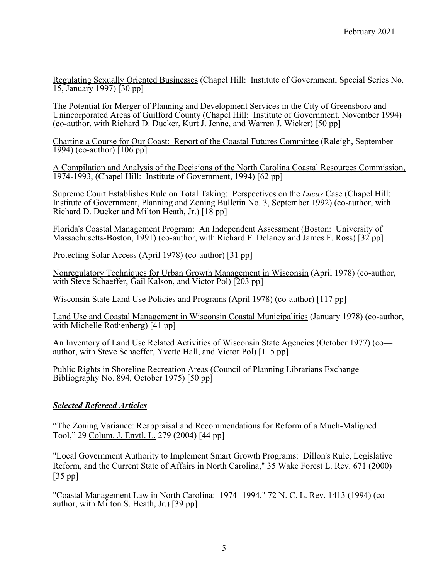Regulating Sexually Oriented Businesses (Chapel Hill: Institute of Government, Special Series No. 15, January 1997) [30 pp]

The Potential for Merger of Planning and Development Services in the City of Greensboro and Unincorporated Areas of Guilford County (Chapel Hill: Institute of Government, November 1994) (co-author, with Richard D. Ducker, Kurt J. Jenne, and Warren J. Wicker) [50 pp]

Charting a Course for Our Coast: Report of the Coastal Futures Committee (Raleigh, September 1994) (co-author) [106 pp]

A Compilation and Analysis of the Decisions of the North Carolina Coastal Resources Commission, 1974-1993, (Chapel Hill: Institute of Government, 1994) [62 pp]

Supreme Court Establishes Rule on Total Taking: Perspectives on the *Lucas* Case (Chapel Hill: Institute of Government, Planning and Zoning Bulletin No. 3, September 1992) (co-author, with Richard D. Ducker and Milton Heath, Jr.) [18 pp]

Florida's Coastal Management Program: An Independent Assessment (Boston: University of Massachusetts-Boston, 1991) (co-author, with Richard F. Delaney and James F. Ross) [32 pp]

Protecting Solar Access (April 1978) (co-author) [31 pp]

Nonregulatory Techniques for Urban Growth Management in Wisconsin (April 1978) (co-author, with Steve Schaeffer, Gail Kalson, and Victor Pol) [203 pp]

Wisconsin State Land Use Policies and Programs (April 1978) (co-author) [117 pp]

Land Use and Coastal Management in Wisconsin Coastal Municipalities (January 1978) (co-author, with Michelle Rothenberg) [41 pp]

An Inventory of Land Use Related Activities of Wisconsin State Agencies (October 1977) (co author, with Steve Schaeffer, Yvette Hall, and Victor Pol) [115 pp]

Public Rights in Shoreline Recreation Areas (Council of Planning Librarians Exchange Bibliography No. 894, October 1975) [50 pp]

#### *Selected Refereed Articles*

"The Zoning Variance: Reappraisal and Recommendations for Reform of a Much-Maligned Tool," 29 Colum. J. Envtl. L. 279 (2004) [44 pp]

"Local Government Authority to Implement Smart Growth Programs: Dillon's Rule, Legislative Reform, and the Current State of Affairs in North Carolina," 35 Wake Forest L. Rev. 671 (2000) [35 pp]

"Coastal Management Law in North Carolina: 1974 -1994," 72 N. C. L. Rev. 1413 (1994) (coauthor, with Milton S. Heath, Jr.) [39 pp]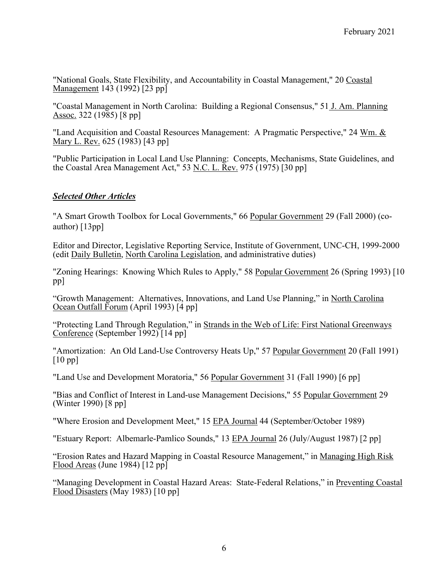"National Goals, State Flexibility, and Accountability in Coastal Management," 20 Coastal Management 143 (1992) [23 pp]

"Coastal Management in North Carolina: Building a Regional Consensus," 51 J. Am. Planning Assoc. 322 (1985) [8 pp]

"Land Acquisition and Coastal Resources Management: A Pragmatic Perspective," 24 Wm. & Mary L. Rev. 625 (1983) [43 pp]

"Public Participation in Local Land Use Planning: Concepts, Mechanisms, State Guidelines, and the Coastal Area Management Act," 53 <u>N.C. L. Rev.</u> 975 (1975) [30 pp]

## *Selected Other Articles*

"A Smart Growth Toolbox for Local Governments," 66 Popular Government 29 (Fall 2000) (coauthor) [13pp]

Editor and Director, Legislative Reporting Service, Institute of Government, UNC-CH, 1999-2000 (edit Daily Bulletin, North Carolina Legislation, and administrative duties)

"Zoning Hearings: Knowing Which Rules to Apply," 58 Popular Government 26 (Spring 1993) [10] pp]

"Growth Management: Alternatives, Innovations, and Land Use Planning," in North Carolina Ocean Outfall Forum (April 1993) [4 pp]

"Protecting Land Through Regulation," in Strands in the Web of Life: First National Greenways Conference (September 1992) [14 pp]

"Amortization: An Old Land-Use Controversy Heats Up," 57 Popular Government 20 (Fall 1991) [10 pp]

"Land Use and Development Moratoria," 56 Popular Government 31 (Fall 1990) [6 pp]

"Bias and Conflict of Interest in Land-use Management Decisions," 55 Popular Government 29 (Winter 1990) [8 pp]

"Where Erosion and Development Meet," 15 EPA Journal 44 (September/October 1989)

"Estuary Report: Albemarle-Pamlico Sounds," 13 EPA Journal 26 (July/August 1987) [2 pp]

"Erosion Rates and Hazard Mapping in Coastal Resource Management," in Managing High Risk Flood Areas (June 1984) [12 pp]

"Managing Development in Coastal Hazard Areas: State-Federal Relations," in Preventing Coastal Flood Disasters (May 1983) [10 pp]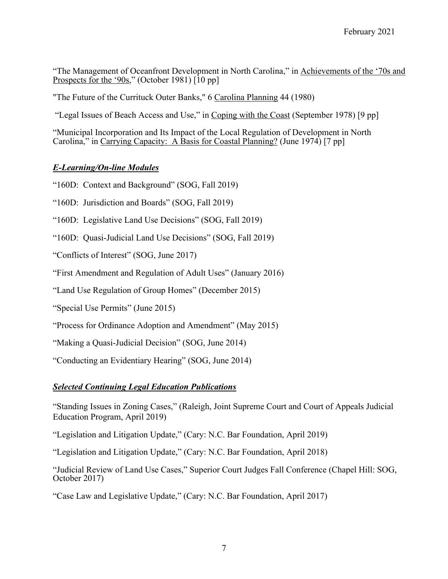"The Management of Oceanfront Development in North Carolina," in Achievements of the '70s and Prospects for the '90s," (October 1981) [10 pp]

"The Future of the Currituck Outer Banks," 6 Carolina Planning 44 (1980)

"Legal Issues of Beach Access and Use," in Coping with the Coast (September 1978) [9 pp]

"Municipal Incorporation and Its Impact of the Local Regulation of Development in North Carolina," in Carrying Capacity: A Basis for Coastal Planning? (June 1974) [7 pp]

# *E-Learning/On-line Modules*

"160D: Context and Background" (SOG, Fall 2019)

"160D: Jurisdiction and Boards" (SOG, Fall 2019)

"160D: Legislative Land Use Decisions" (SOG, Fall 2019)

"160D: Quasi-Judicial Land Use Decisions" (SOG, Fall 2019)

"Conflicts of Interest" (SOG, June 2017)

"First Amendment and Regulation of Adult Uses" (January 2016)

"Land Use Regulation of Group Homes" (December 2015)

"Special Use Permits" (June 2015)

"Process for Ordinance Adoption and Amendment" (May 2015)

"Making a Quasi-Judicial Decision" (SOG, June 2014)

"Conducting an Evidentiary Hearing" (SOG, June 2014)

# *Selected Continuing Legal Education Publications*

"Standing Issues in Zoning Cases," (Raleigh, Joint Supreme Court and Court of Appeals Judicial Education Program, April 2019)

"Legislation and Litigation Update," (Cary: N.C. Bar Foundation, April 2019)

"Legislation and Litigation Update," (Cary: N.C. Bar Foundation, April 2018)

"Judicial Review of Land Use Cases," Superior Court Judges Fall Conference (Chapel Hill: SOG, October 2017)

"Case Law and Legislative Update," (Cary: N.C. Bar Foundation, April 2017)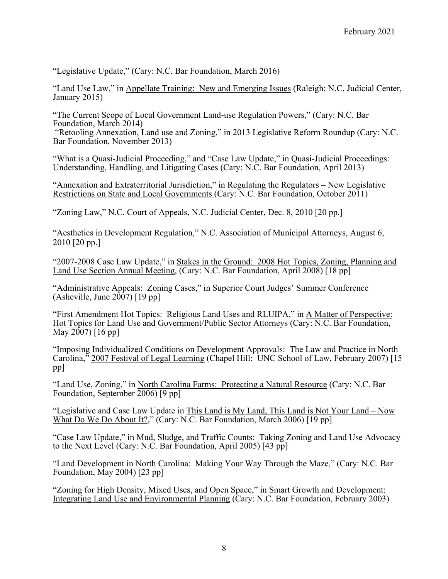"Legislative Update," (Cary: N.C. Bar Foundation, March 2016)

"Land Use Law," in Appellate Training: New and Emerging Issues (Raleigh: N.C. Judicial Center, January 2015)

"The Current Scope of Local Government Land-use Regulation Powers," (Cary: N.C. Bar Foundation, March 2014)

"Retooling Annexation, Land use and Zoning," in 2013 Legislative Reform Roundup (Cary: N.C. Bar Foundation, November 2013)

"What is a Quasi-Judicial Proceeding," and "Case Law Update," in Quasi-Judicial Proceedings: Understanding, Handling, and Litigating Cases (Cary: N.C. Bar Foundation, April 2013)

"Annexation and Extraterritorial Jurisdiction," in Regulating the Regulators – New Legislative Restrictions on State and Local Governments (Cary: N.C. Bar Foundation, October 2011)

"Zoning Law," N.C. Court of Appeals, N.C. Judicial Center, Dec. 8, 2010 [20 pp.]

"Aesthetics in Development Regulation," N.C. Association of Municipal Attorneys, August 6, 2010 [20 pp.]

"2007-2008 Case Law Update," in Stakes in the Ground: 2008 Hot Topics, Zoning, Planning and Land Use Section Annual Meeting, (Cary: N.C. Bar Foundation, April 2008) [18 pp]

"Administrative Appeals: Zoning Cases," in Superior Court Judges' Summer Conference (Asheville, June  $2007$ ) [19 pp]

"First Amendment Hot Topics: Religious Land Uses and RLUIPA," in A Matter of Perspective: Hot Topics for Land Use and Government/Public Sector Attorneys (Cary: N.C. Bar Foundation, May 2007) [16 pp]

"Imposing Individualized Conditions on Development Approvals: The Law and Practice in North Carolina,<sup>35</sup> 2007 Festival of Legal Learning (Chapel Hill: UNC School of Law, February 2007) [15] pp]

"Land Use, Zoning," in North Carolina Farms: Protecting a Natural Resource (Cary: N.C. Bar Foundation, September 2006) [9 pp]

"Legislative and Case Law Update in This Land is My Land, This Land is Not Your Land – Now What Do We Do About It?," (Cary: N.C. Bar Foundation, March 2006) [19 pp]

"Case Law Update," in Mud, Sludge, and Traffic Counts: Taking Zoning and Land Use Advocacy to the Next Level (Cary: N.C. Bar Foundation, April 2005) [43 pp]

"Land Development in North Carolina: Making Your Way Through the Maze," (Cary: N.C. Bar Foundation, May 2004) [23 pp]

"Zoning for High Density, Mixed Uses, and Open Space," in Smart Growth and Development: Integrating Land Use and Environmental Planning (Cary: N.C. Bar Foundation, February 2003)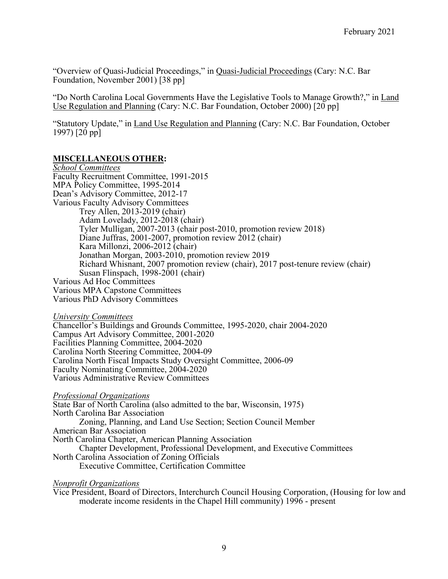"Overview of Quasi-Judicial Proceedings," in Quasi-Judicial Proceedings (Cary: N.C. Bar Foundation, November 2001) [38 pp]

"Do North Carolina Local Governments Have the Legislative Tools to Manage Growth?," in Land Use Regulation and Planning (Cary: N.C. Bar Foundation, October 2000) [20 pp]

"Statutory Update," in Land Use Regulation and Planning (Cary: N.C. Bar Foundation, October 1997) [20 pp]

## **MISCELLANEOUS OTHER:**

*School Committees* Faculty Recruitment Committee, 1991-2015 MPA Policy Committee, 1995-2014 Dean's Advisory Committee, 2012-17 Various Faculty Advisory Committees Trey Allen, 2013-2019 (chair) Adam Lovelady, 2012-2018 (chair) Tyler Mulligan, 2007-2013 (chair post-2010, promotion review 2018) Diane Juffras, 2001-2007, promotion review 2012 (chair) Kara Millonzi, 2006-2012 (chair) Jonathan Morgan, 2003-2010, promotion review 2019 Richard Whisnant, 2007 promotion review (chair), 2017 post-tenure review (chair) Susan Flinspach, 1998-2001 (chair) Various Ad Hoc Committees Various MPA Capstone Committees Various PhD Advisory Committees

*University Committees*

Chancellor's Buildings and Grounds Committee, 1995-2020, chair 2004-2020 Campus Art Advisory Committee, 2001-2020 Facilities Planning Committee, 2004-2020 Carolina North Steering Committee, 2004-09 Carolina North Fiscal Impacts Study Oversight Committee, 2006-09 Faculty Nominating Committee, 2004-2020 Various Administrative Review Committees

#### *Professional Organizations*

State Bar of North Carolina (also admitted to the bar, Wisconsin, 1975) North Carolina Bar Association Zoning, Planning, and Land Use Section; Section Council Member American Bar Association North Carolina Chapter, American Planning Association Chapter Development, Professional Development, and Executive Committees North Carolina Association of Zoning Officials Executive Committee, Certification Committee

#### *Nonprofit Organizations*

Vice President, Board of Directors, Interchurch Council Housing Corporation, (Housing for low and moderate income residents in the Chapel Hill community) 1996 - present